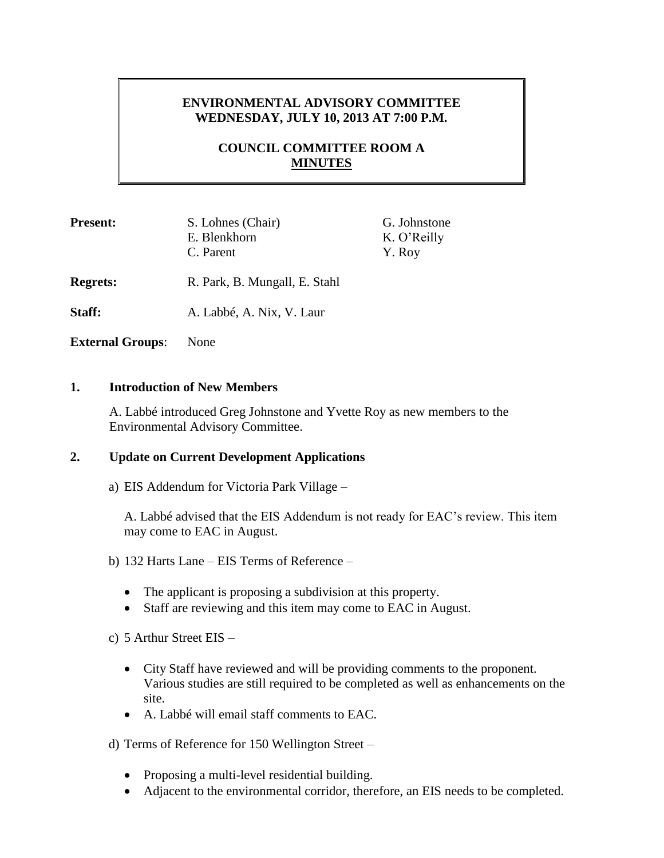# **ENVIRONMENTAL ADVISORY COMMITTEE WEDNESDAY, JULY 10, 2013 AT 7:00 P.M.**

# **COUNCIL COMMITTEE ROOM A MINUTES**

| <b>Present:</b>         | S. Lohnes (Chair)<br>E. Blenkhorn<br>C. Parent | G. Johnstone<br>K. O'Reilly<br>Y. Roy |
|-------------------------|------------------------------------------------|---------------------------------------|
| <b>Regrets:</b>         | R. Park, B. Mungall, E. Stahl                  |                                       |
| Staff:                  | A. Labbé, A. Nix, V. Laur                      |                                       |
| <b>External Groups:</b> | None                                           |                                       |

#### **1. Introduction of New Members**

A. Labbé introduced Greg Johnstone and Yvette Roy as new members to the Environmental Advisory Committee.

# **2. Update on Current Development Applications**

a) EIS Addendum for Victoria Park Village –

A. Labbé advised that the EIS Addendum is not ready for EAC's review. This item may come to EAC in August.

- b) 132 Harts Lane EIS Terms of Reference
	- The applicant is proposing a subdivision at this property.
	- Staff are reviewing and this item may come to EAC in August.
- c) 5 Arthur Street EIS
	- City Staff have reviewed and will be providing comments to the proponent. Various studies are still required to be completed as well as enhancements on the site.
	- A. Labbé will email staff comments to EAC.

d) Terms of Reference for 150 Wellington Street –

- Proposing a multi-level residential building.
- Adjacent to the environmental corridor, therefore, an EIS needs to be completed.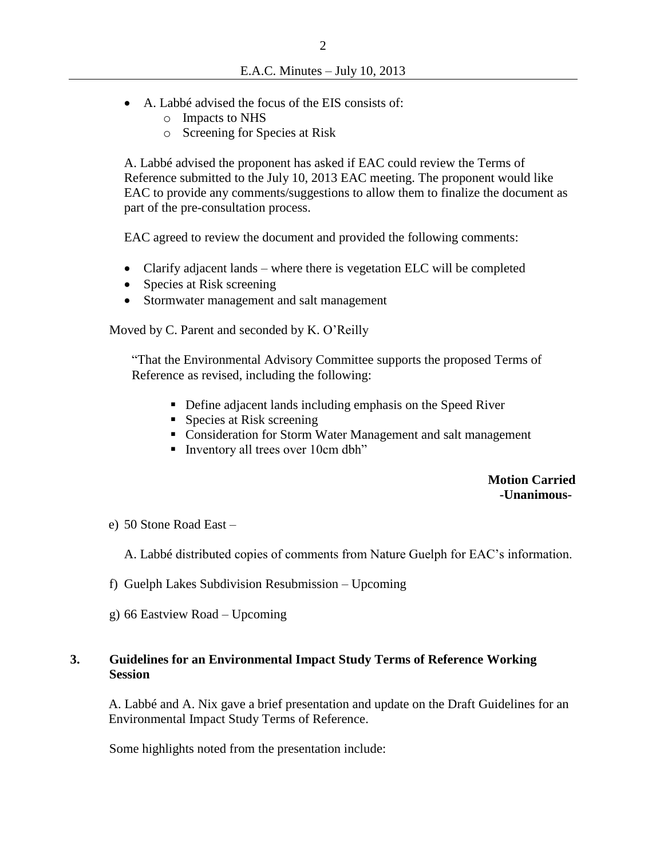- A. Labbé advised the focus of the EIS consists of:
	- o Impacts to NHS
	- o Screening for Species at Risk

A. Labbé advised the proponent has asked if EAC could review the Terms of Reference submitted to the July 10, 2013 EAC meeting. The proponent would like EAC to provide any comments/suggestions to allow them to finalize the document as part of the pre-consultation process.

EAC agreed to review the document and provided the following comments:

- Clarify adjacent lands where there is vegetation ELC will be completed
- Species at Risk screening
- Stormwater management and salt management

Moved by C. Parent and seconded by K. O'Reilly

"That the Environmental Advisory Committee supports the proposed Terms of Reference as revised, including the following:

- Define adjacent lands including emphasis on the Speed River
- Species at Risk screening
- Consideration for Storm Water Management and salt management
- Inventory all trees over  $10 \text{cm}$  dbh"

#### **Motion Carried -Unanimous-**

e) 50 Stone Road East –

A. Labbé distributed copies of comments from Nature Guelph for EAC's information.

- f) Guelph Lakes Subdivision Resubmission Upcoming
- g) 66 Eastview Road Upcoming

#### **3. Guidelines for an Environmental Impact Study Terms of Reference Working Session**

A. Labbé and A. Nix gave a brief presentation and update on the Draft Guidelines for an Environmental Impact Study Terms of Reference.

Some highlights noted from the presentation include: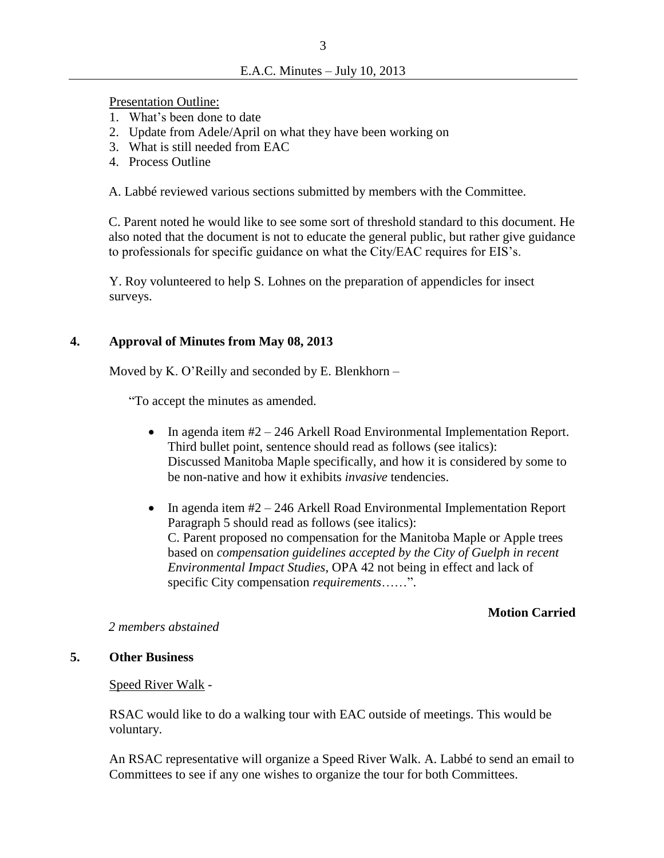Presentation Outline:

- 1. What's been done to date
- 2. Update from Adele/April on what they have been working on
- 3. What is still needed from EAC
- 4. Process Outline

A. Labbé reviewed various sections submitted by members with the Committee.

C. Parent noted he would like to see some sort of threshold standard to this document. He also noted that the document is not to educate the general public, but rather give guidance to professionals for specific guidance on what the City/EAC requires for EIS's.

Y. Roy volunteered to help S. Lohnes on the preparation of appendicles for insect surveys.

## **4. Approval of Minutes from May 08, 2013**

Moved by K. O'Reilly and seconded by E. Blenkhorn –

"To accept the minutes as amended.

- In agenda item #2 246 Arkell Road Environmental Implementation Report. Third bullet point, sentence should read as follows (see italics): Discussed Manitoba Maple specifically, and how it is considered by some to be non-native and how it exhibits *invasive* tendencies.
- In agenda item  $#2 246$  Arkell Road Environmental Implementation Report Paragraph 5 should read as follows (see italics): C. Parent proposed no compensation for the Manitoba Maple or Apple trees based on *compensation guidelines accepted by the City of Guelph in recent Environmental Impact Studies*, OPA 42 not being in effect and lack of specific City compensation *requirements*……".

## **Motion Carried**

#### *2 members abstained*

## **5. Other Business**

## Speed River Walk -

RSAC would like to do a walking tour with EAC outside of meetings. This would be voluntary.

An RSAC representative will organize a Speed River Walk. A. Labbé to send an email to Committees to see if any one wishes to organize the tour for both Committees.